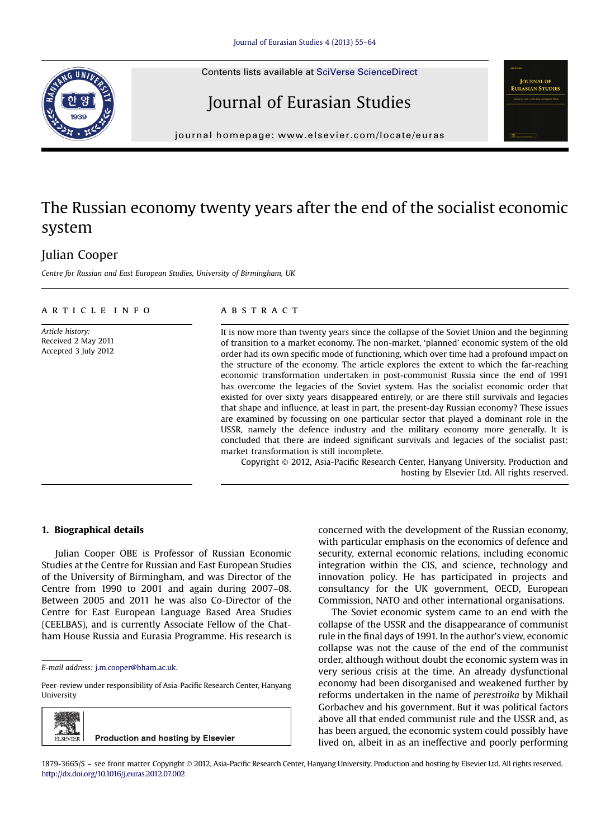





 $j$ 

## The Russian economy twenty years after the end of the socialist economic system

### Julian Cooper

Centre for Russian and East European Studies, University of Birmingham, UK

#### article info

Article history: Received 2 May 2011 Accepted 3 July 2012

#### **ABSTRACT**

It is now more than twenty years since the collapse of the Soviet Union and the beginning of transition to a market economy. The non-market, 'planned' economic system of the old order had its own specific mode of functioning, which over time had a profound impact on the structure of the economy. The article explores the extent to which the far-reaching economic transformation undertaken in post-communist Russia since the end of 1991 has overcome the legacies of the Soviet system. Has the socialist economic order that existed for over sixty years disappeared entirely, or are there still survivals and legacies that shape and influence, at least in part, the present-day Russian economy? These issues are examined by focussing on one particular sector that played a dominant role in the USSR, namely the defence industry and the military economy more generally. It is concluded that there are indeed significant survivals and legacies of the socialist past: market transformation is still incomplete.

Copyright 2012, Asia-Pacific Research Center, Hanyang University. Production and hosting by Elsevier Ltd. All rights reserved.

#### 1. Biographical details

Julian Cooper OBE is Professor of Russian Economic Studies at the Centre for Russian and East European Studies of the University of Birmingham, and was Director of the Centre from 1990 to 2001 and again during 2007–08. Between 2005 and 2011 he was also Co-Director of the Centre for East European Language Based Area Studies (CEELBAS), and is currently Associate Fellow of the Chatham House Russia and Eurasia Programme. His research is

Peer-review under responsibility of Asia-Pacific Research Center, Hanyang University



concerned with the development of the Russian economy, with particular emphasis on the economics of defence and security, external economic relations, including economic integration within the CIS, and science, technology and innovation policy. He has participated in projects and consultancy for the UK government, OECD, European Commission, NATO and other international organisations.

The Soviet economic system came to an end with the collapse of the USSR and the disappearance of communist rule in the final days of 1991. In the author's view, economic collapse was not the cause of the end of the communist order, although without doubt the economic system was in very serious crisis at the time. An already dysfunctional economy had been disorganised and weakened further by reforms undertaken in the name of perestroika by Mikhail Gorbachev and his government. But it was political factors above all that ended communist rule and the USSR and, as has been argued, the economic system could possibly have lived on, albeit in as an ineffective and poorly performing

E-mail address: [j.m.cooper@bham.ac.uk.](mailto:j.m.cooper@bham.ac.uk)

<sup>1879-3665/\$</sup> – see front matter Copyright 2012, Asia-Pacific Research Center, Hanyang University. Production and hosting by Elsevier Ltd. All rights reserved. <http://dx.doi.org/10.1016/j.euras.2012.07.002>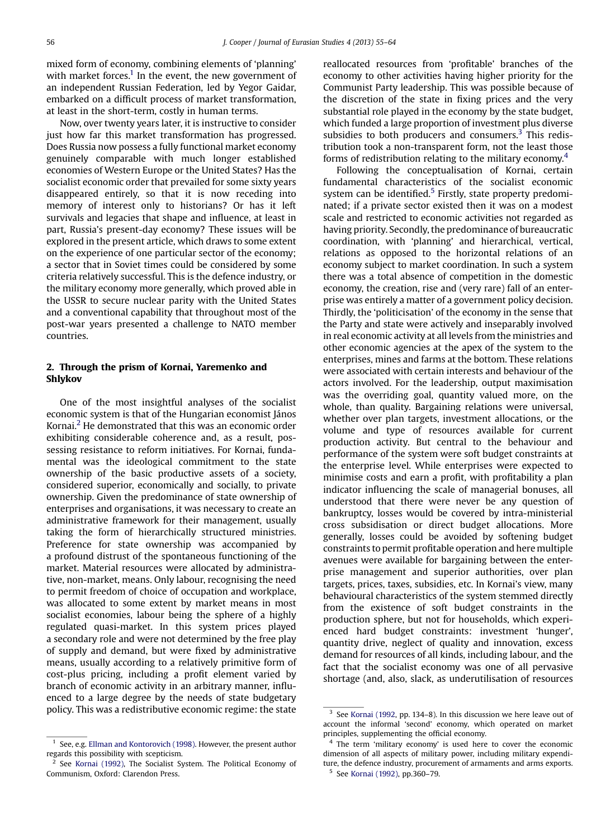mixed form of economy, combining elements of 'planning' with market forces.<sup>1</sup> In the event, the new government of an independent Russian Federation, led by Yegor Gaidar, embarked on a difficult process of market transformation, at least in the short-term, costly in human terms.

Now, over twenty years later, it is instructive to consider just how far this market transformation has progressed. Does Russia now possess a fully functional market economy genuinely comparable with much longer established economies of Western Europe or the United States? Has the socialist economic order that prevailed for some sixty years disappeared entirely, so that it is now receding into memory of interest only to historians? Or has it left survivals and legacies that shape and influence, at least in part, Russia's present-day economy? These issues will be explored in the present article, which draws to some extent on the experience of one particular sector of the economy; a sector that in Soviet times could be considered by some criteria relatively successful. This is the defence industry, or the military economy more generally, which proved able in the USSR to secure nuclear parity with the United States and a conventional capability that throughout most of the post-war years presented a challenge to NATO member countries.

#### 2. Through the prism of Kornai, Yaremenko and Shlykov

One of the most insightful analyses of the socialist economic system is that of the Hungarian economist János Kornai. $<sup>2</sup>$  He demonstrated that this was an economic order</sup> exhibiting considerable coherence and, as a result, possessing resistance to reform initiatives. For Kornai, fundamental was the ideological commitment to the state ownership of the basic productive assets of a society, considered superior, economically and socially, to private ownership. Given the predominance of state ownership of enterprises and organisations, it was necessary to create an administrative framework for their management, usually taking the form of hierarchically structured ministries. Preference for state ownership was accompanied by a profound distrust of the spontaneous functioning of the market. Material resources were allocated by administrative, non-market, means. Only labour, recognising the need to permit freedom of choice of occupation and workplace, was allocated to some extent by market means in most socialist economies, labour being the sphere of a highly regulated quasi-market. In this system prices played a secondary role and were not determined by the free play of supply and demand, but were fixed by administrative means, usually according to a relatively primitive form of cost-plus pricing, including a profit element varied by branch of economic activity in an arbitrary manner, influenced to a large degree by the needs of state budgetary policy. This was a redistributive economic regime: the state

reallocated resources from 'profitable' branches of the economy to other activities having higher priority for the Communist Party leadership. This was possible because of the discretion of the state in fixing prices and the very substantial role played in the economy by the state budget, which funded a large proportion of investment plus diverse subsidies to both producers and consumers. $3$  This redistribution took a non-transparent form, not the least those forms of redistribution relating to the military economy.<sup>4</sup>

Following the conceptualisation of Kornai, certain fundamental characteristics of the socialist economic system can be identified.<sup>5</sup> Firstly, state property predominated; if a private sector existed then it was on a modest scale and restricted to economic activities not regarded as having priority. Secondly, the predominance of bureaucratic coordination, with 'planning' and hierarchical, vertical, relations as opposed to the horizontal relations of an economy subject to market coordination. In such a system there was a total absence of competition in the domestic economy, the creation, rise and (very rare) fall of an enterprise was entirely a matter of a government policy decision. Thirdly, the 'politicisation' of the economy in the sense that the Party and state were actively and inseparably involved in real economic activity at all levels from the ministries and other economic agencies at the apex of the system to the enterprises, mines and farms at the bottom. These relations were associated with certain interests and behaviour of the actors involved. For the leadership, output maximisation was the overriding goal, quantity valued more, on the whole, than quality. Bargaining relations were universal, whether over plan targets, investment allocations, or the volume and type of resources available for current production activity. But central to the behaviour and performance of the system were soft budget constraints at the enterprise level. While enterprises were expected to minimise costs and earn a profit, with profitability a plan indicator influencing the scale of managerial bonuses, all understood that there were never be any question of bankruptcy, losses would be covered by intra-ministerial cross subsidisation or direct budget allocations. More generally, losses could be avoided by softening budget constraints to permit profitable operation and here multiple avenues were available for bargaining between the enterprise management and superior authorities, over plan targets, prices, taxes, subsidies, etc. In Kornai's view, many behavioural characteristics of the system stemmed directly from the existence of soft budget constraints in the production sphere, but not for households, which experienced hard budget constraints: investment 'hunger', quantity drive, neglect of quality and innovation, excess demand for resources of all kinds, including labour, and the fact that the socialist economy was one of all pervasive shortage (and, also, slack, as underutilisation of resources

See, e.g. [Ellman and Kontorovich \(1998\).](#page--1-0) However, the present author regards this possibility with scepticism.

 $2^{2}$  See [Kornai \(1992\),](#page--1-0) The Socialist System. The Political Economy of Communism, Oxford: Clarendon Press.

<sup>&</sup>lt;sup>3</sup> See [Kornai \(1992,](#page--1-0) pp. 134-8). In this discussion we here leave out of account the informal 'second' economy, which operated on market principles, supplementing the official economy.

The term 'military economy' is used here to cover the economic dimension of all aspects of military power, including military expenditure, the defence industry, procurement of armaments and arms exports. <sup>5</sup> See [Kornai \(1992\)](#page--1-0), pp.360–79.